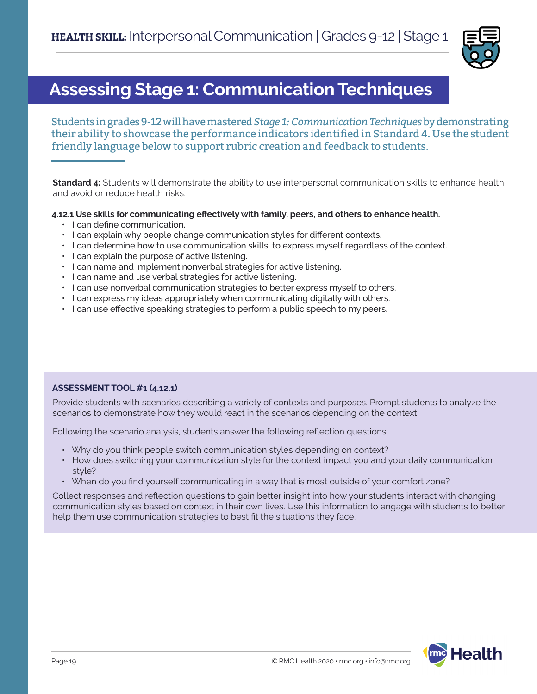

## **Assessing Stage 1: Communication Techniques**

Students in grades 9-12 will have mastered *Stage 1: Communication Techniques* by demonstrating their ability to showcase the performance indicators identified in Standard 4. Use the student friendly language below to support rubric creation and feedback to students.

**Standard 4:** Students will demonstrate the ability to use interpersonal communication skills to enhance health and avoid or reduce health risks.

#### **4.12.1 Use skills for communicating effectively with family, peers, and others to enhance health.**

- I can define communication.
- I can explain why people change communication styles for different contexts.
- I can determine how to use communication skills to express myself regardless of the context.
- I can explain the purpose of active listening.
- I can name and implement nonverbal strategies for active listening.
- I can name and use verbal strategies for active listening.
- I can use nonverbal communication strategies to better express myself to others.
- I can express my ideas appropriately when communicating digitally with others.
- I can use effective speaking strategies to perform a public speech to my peers.

### **ASSESSMENT TOOL #1 (4.12.1)**

Provide students with scenarios describing a variety of contexts and purposes. Prompt students to analyze the scenarios to demonstrate how they would react in the scenarios depending on the context.

Following the scenario analysis, students answer the following reflection questions:

- Why do you think people switch communication styles depending on context?
- How does switching your communication style for the context impact you and your daily communication style?
- When do you find yourself communicating in a way that is most outside of your comfort zone?

Collect responses and reflection questions to gain better insight into how your students interact with changing communication styles based on context in their own lives. Use this information to engage with students to better help them use communication strategies to best fit the situations they face.

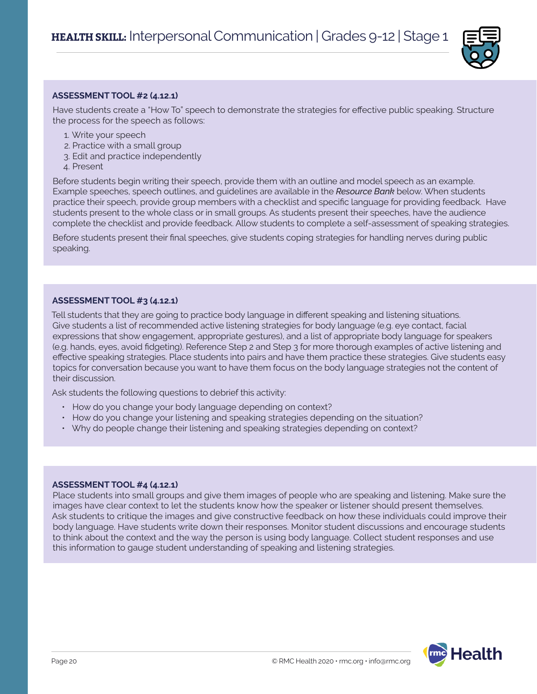

#### **ASSESSMENT TOOL #2 (4.12.1)**

Have students create a "How To" speech to demonstrate the strategies for effective public speaking. Structure the process for the speech as follows:

- 1. Write your speech
- 2. Practice with a small group
- 3. Edit and practice independently
- 4. Present

Before students begin writing their speech, provide them with an outline and model speech as an example. Example speeches, speech outlines, and guidelines are available in the *Resource Bank* below. When students practice their speech, provide group members with a checklist and specific language for providing feedback. Have students present to the whole class or in small groups. As students present their speeches, have the audience complete the checklist and provide feedback. Allow students to complete a self-assessment of speaking strategies.

Before students present their final speeches, give students coping strategies for handling nerves during public speaking.

#### **ASSESSMENT TOOL #3 (4.12.1)**

Tell students that they are going to practice body language in different speaking and listening situations. Give students a list of recommended active listening strategies for body language (e.g. eye contact, facial expressions that show engagement, appropriate gestures), and a list of appropriate body language for speakers (e.g. hands, eyes, avoid fidgeting). Reference Step 2 and Step 3 for more thorough examples of active listening and effective speaking strategies. Place students into pairs and have them practice these strategies. Give students easy topics for conversation because you want to have them focus on the body language strategies not the content of their discussion.

Ask students the following questions to debrief this activity:

- How do you change your body language depending on context?
- How do you change your listening and speaking strategies depending on the situation?
- Why do people change their listening and speaking strategies depending on context?

#### **ASSESSMENT TOOL #4 (4.12.1)**

Place students into small groups and give them images of people who are speaking and listening. Make sure the images have clear context to let the students know how the speaker or listener should present themselves. Ask students to critique the images and give constructive feedback on how these individuals could improve their body language. Have students write down their responses. Monitor student discussions and encourage students to think about the context and the way the person is using body language. Collect student responses and use this information to gauge student understanding of speaking and listening strategies.

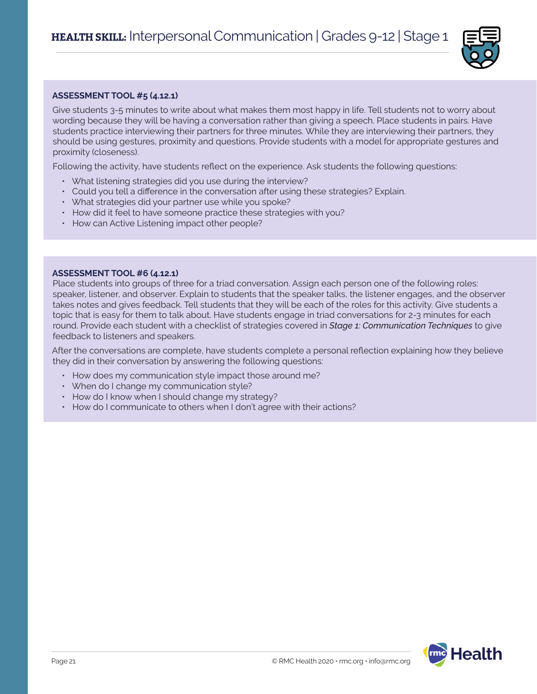

#### **ASSESSMENT TOOL #5 (4.12.1)**

Give students 3-5 minutes to write about what makes them most happy in life. Tell students not to worry about wording because they will be having a conversation rather than giving a speech. Place students in pairs. Have students practice interviewing their partners for three minutes. While they are interviewing their partners, they should be using gestures, proximity and questions. Provide students with a model for appropriate gestures and proximity (closeness).

Following the activity, have students reflect on the experience. Ask students the following questions:

- What listening strategies did you use during the interview?
- Could you tell a difference in the conversation after using these strategies? Explain.
- What strategies did your partner use while you spoke?
- How did it feel to have someone practice these strategies with you?
- How can Active Listening impact other people?

#### **ASSESSMENT TOOL #6 (4.12.1)**

Place students into groups of three for a triad conversation. Assign each person one of the following roles: speaker, listener, and observer. Explain to students that the speaker talks, the listener engages, and the observer takes notes and gives feedback. Tell students that they will be each of the roles for this activity. Give students a topic that is easy for them to talk about. Have students engage in triad conversations for 2-3 minutes for each round. Provide each student with a checklist of strategies covered in *Stage 1: Communication Techniques* to give feedback to listeners and speakers.

After the conversations are complete, have students complete a personal reflection explaining how they believe they did in their conversation by answering the following questions:

- How does my communication style impact those around me?
- When do I change my communication style?
- How do I know when I should change my strategy?
- How do I communicate to others when I don't agree with their actions?

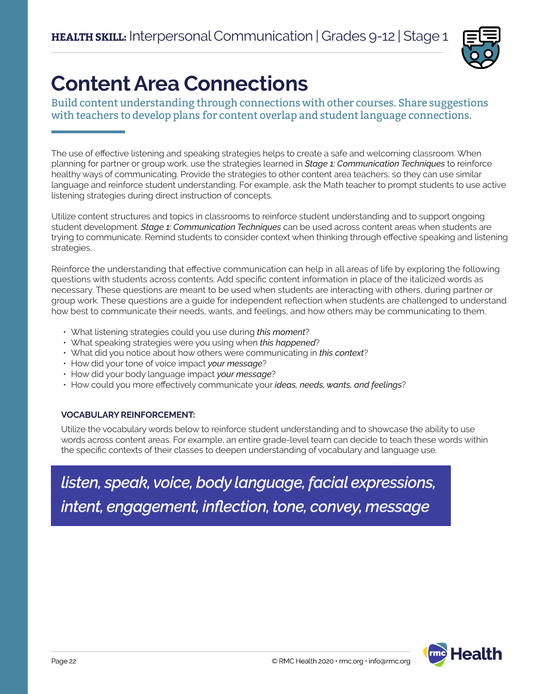

# **Content Area Connections**

Build content understanding through connections with other courses. Share suggestions with teachers to develop plans for content overlap and student language connections.

The use of effective listening and speaking strategies helps to create a safe and welcoming classroom. When planning for partner or group work, use the strategies learned in *Stage 1: Communication Techniques* to reinforce healthy ways of communicating. Provide the strategies to other content area teachers, so they can use similar language and reinforce student understanding. For example, ask the Math teacher to prompt students to use active listening strategies during direct instruction of concepts.

Utilize content structures and topics in classrooms to reinforce student understanding and to support ongoing student development. *Stage 1: Communication Techniques* can be used across content areas when students are trying to communicate. Remind students to consider context when thinking through effective speaking and listening strategies. .

Reinforce the understanding that effective communication can help in all areas of life by exploring the following questions with students across contents. Add specific content information in place of the italicized words as necessary. These questions are meant to be used when students are interacting with others, during partner or group work. These questions are a guide for independent reflection when students are challenged to understand how best to communicate their needs, wants, and feelings, and how others may be communicating to them.

- What listening strategies could you use during *this moment*?
- What speaking strategies were you using when *this happened*?
- What did you notice about how others were communicating in *this context*?
- How did your tone of voice impact *your message*?
- How did your body language impact *your message*?
- How could you more effectively communicate your *ideas, needs, wants, and feelings*?

### **VOCABULARY REINFORCEMENT:**

Utilize the vocabulary words below to reinforce student understanding and to showcase the ability to use words across content areas. For example, an entire grade-level team can decide to teach these words within the specific contexts of their classes to deepen understanding of vocabulary and language use.

*listen, speak, voice, body language, facial expressions, intent, engagement, inflection, tone, convey, message*